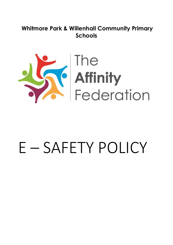## **Whitmore Park & Willenhall Community Primary Schools**



# E – SAFETY POLICY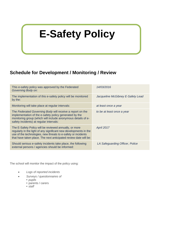## **E-Safety Policy**

## **Schedule for Development / Monitoring / Review**

| This e-safety policy was approved by the Federated<br><b>Governing Body on:</b>                                                                                                                                                                                  | 14/03/2016                        |
|------------------------------------------------------------------------------------------------------------------------------------------------------------------------------------------------------------------------------------------------------------------|-----------------------------------|
| The implementation of this e-safety policy will be monitored<br>by the:                                                                                                                                                                                          | Jacqueline McGibney E-Safety Lead |
| Monitoring will take place at regular intervals:                                                                                                                                                                                                                 | at least once a year              |
| The Federated Governing Body will receive a report on the<br>implementation of the e-safety policy generated by the<br>monitoring group (which will include anonymous details of e-<br>safety incidents) at regular intervals:                                   | to be at least once a year        |
| The E-Safety Policy will be reviewed annually, or more<br>regularly in the light of any significant new developments in the<br>use of the technologies, new threats to e-safety or incidents<br>that have taken place. The next anticipated review date will be: | April 2017                        |
| Should serious e-safety incidents take place, the following<br>external persons / agencies should be informed:                                                                                                                                                   | LA Safeguarding Officer, Police   |

The school will monitor the impact of the policy using:

- *Logs of reported incidents*
- *Surveys / questionnaires of*
	- **•** *pupils*
	- **•** parents / carers
	- **•** *staff*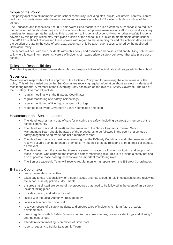#### Scope of the Policy

This policy applies to all members of the school community (including staff, pupils, volunteers, parents / carers, visitors, community users) who have access to and are users of school ICT systems, both in and out of the school.

The Education and Inspections Act 2006 empowers Head teachers to such extent as is reasonable, to regulate the behaviour of pupils when they are off the school site and empowers members of staff to impose disciplinary penalties for inappropriate behaviour. This is pertinent to incidents of cyber-bullying, or other e-safety incidents covered by this policy, which may take place outside of the school, but is linked to membership of the school. The 2011 Education Act increased these powers with regard to the searching for and of electronic devices and the deletion of data. In the case of both acts, action can only be taken over issues covered by the published Behaviour Policy.

The school will deal with such incidents within this policy and associated behaviour and anti-bullying policies and will, where known, inform parents / carers of incidents of inappropriate e-safety behaviour that take place out of school.

#### Roles and Responsibilities

The following section outlines the e-safety roles and responsibilities of individuals and groups within the school:

#### Governors:

Governors are responsible for the approval of the E-Safety Policy and for reviewing the effectiveness of the policy. This will be carried out by the Sub Committee receiving regular information about e-safety incidents and monitoring reports. A member of the Governing Body has taken on the role of E-Safety Governor. The role of the E-Safety Governor will include:

- regular meetings with the E-Safety Coordinator
- regular monitoring of e-safety incident logs
- regular monitoring of filtering / change control logs
- reporting to relevant Governors / Board / committee / meeting

#### Headteacher and Senior Leaders:

- The Head teacher has a duty of care for ensuring the safety (including e-safety) of members of the school community
- The Head teacher and (at least) another member of the Senior Leadership Team / Senior Management Team should be aware of the procedures to be followed in the event of a serious esafety allegation being made against a member of staff.
- The Head teacher is responsible for ensuring that the E-Safety Coordinator and other relevant staff receive suitable training to enable them to carry out their e-safety roles and to train other colleagues, as relevant.
- The Head teacher will ensure that there is a system in place to allow for monitoring and support of those in school who carry out the internal e-safety monitoring role. This is to provide a safety net and also support to those colleagues who take on important monitoring roles.
- The Senior Leadership Team will receive regular monitoring reports from the E-Safety Co-ordinator.

#### E-Safety Coordinator:

- leads the e-safety committee
- takes day to day responsibility for e-safety issues and has a leading role in establishing and reviewing the school e-safety policies / documents
- ensures that all staff are aware of the procedures that need to be followed in the event of an e-safety incident taking place.
- provides training and advice for staff
- liaises with the Local Authority / relevant body
- liaises with school technical staff
- receives reports of e-safety incidents and creates a log of incidents to inform future e-safety developments,
- meets regularly with E-Safety Governor to discuss current issues, review incident logs and filtering / change control logs
- attends relevant meeting / committee of Governors
- reports regularly to Senior Leadership Team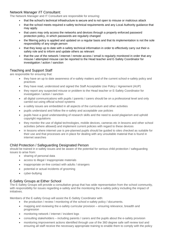#### Network Manager /IT Consultant:

The Network Manager and IT Consultant are responsible for ensuring:

- that the school's technical infrastructure is secure and is not open to misuse or malicious attack
- that the school meets required e-safety technical requirements and any Local Authority quidance that may apply.
- that users may only access the networks and devices through a properly enforced password protection policy, in which passwords are regularly changed
- the filtering policy is applied and updated on a regular basis and that its implementation is not the sole responsibility of any single person
- that they keep up to date with e-safety technical information in order to effectively carry out their esafety role and to inform and update others as relevant
- that the use of the network / internet / remote access / email is regularly monitored in order that any misuse / attempted misuse can be reported to the Head teacher and E-Safety Coordinator for investigation / action / sanction

#### Teaching and Support Staff

are responsible for ensuring that:

- they have an up to date awareness of e-safety matters and of the current school e-safety policy and practices
- they have read, understood and signed the Staff Acceptable Use Policy / Agreement (AUP)
- they report any suspected misuse or problem to the Head teacher or E-Safety Coordinator for investigation / action / sanction
- all digital communications with pupils / parents / carers should be on a professional level and only carried out using official school systems
- e-safety issues are embedded in all aspects of the curriculum and other activities
- pupils understand and follow the e-safety and acceptable use policies
- pupils have a good understanding of research skills and the need to avoid plagiarism and uphold copyright regulations
- they monitor the use of digital technologies, mobile devices, cameras etc in lessons and other school activities (where allowed) and implement current policies with regard to these devices
- in lessons where internet use is pre-planned pupils should be guided to sites checked as suitable for their use and that processes are in place for dealing with any unsuitable material that is found in internet searches

#### Child Protection / Safeguarding Designated Person

should be trained in e-safety issues and be aware of the potential for serious child protection / safeguarding issues to arise from:

- sharing of personal data
- access to illegal / inappropriate materials
- inappropriate on-line contact with adults / strangers
- potential or actual incidents of grooming
- cyber-bullying

#### E-Safety Groups at Either School

The E-Safety Groups will provide a consultative group that has wide representation from the school community, with responsibility for issues regarding e-safety and the monitoring the e-safety policy including the impact of initiatives.

Members of the E-safety Group will assist the E-Safety Coordinator with:

- the production / review / monitoring of the school e-safety policy / documents.
- mapping and reviewing the e-safety curricular provision ensuring relevance, breadth and progression
- monitoring network / internet / incident logs
- consulting stakeholders including parents / carers and the pupils about the e-safety provision
- monitoring improvement actions identified through use of the 360 degree safe self review tool and ensuring all staff receive the necessary appropriate training to enable them to comply with the policy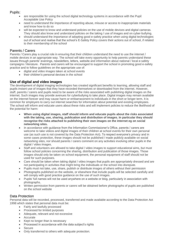#### Pupils:

- are responsible for using the school digital technology systems in accordance with the Pupil Acceptable Use Policy
- need to understand the importance of reporting abuse, misuse or access to inappropriate materials and know how to do so
- will be expected to know and understand policies on the use of mobile devices and digital cameras. They should also know and understand policies on the taking / use of images and on cyber-bullying.
- should understand the importance of adopting good e-safety practice when using digital technologies out of school and realise that the school's E-Safety Policy covers their actions out of school, if related to their membership of the school

#### Parents / Carers

Parents / Carers play a crucial role in ensuring that their children understand the need to use the internet / mobile devices in an appropriate way. The school will take every opportunity to help parents understand these issues through parents' evenings, newsletters, letters, website and information about national / local e-safety campaigns / literature. Parents and carers will be encouraged to support the school in promoting good e-safety practice and to follow guidelines on the appropriate use of:

- digital and video images taken at school events
	- their children's personal devices in the school

#### **Use of digital and video images**

The development of digital imaging technologies has created significant benefits to learning, allowing staff and pupils instant use of images that they have recorded themselves or downloaded from the internet. However, staff, parents / carers and pupils need to be aware of the risks associated with publishing digital images on the internet. Such images may provide avenues for cyberbullying to take place. Digital images may remain available on the internet forever and may cause harm or embarrassment to individuals in the short or longer term. It is common for employers to carry out internet searches for information about potential and existing employees. The school will inform and educate users about these risks and will implement policies to reduce the likelihood of the potential for harm:

- **When using digital images, staff should inform and educate pupils about the risks associated with the taking, use, sharing, publication and distribution of images. In particular they should recognise the risks attached to publishing their own images on the internet eg on social networking sites.**
- In accordance with guidance from the Information Commissioner's Office, parents / carers are welcome to take videos and digital images of their children at school events for their own personal use (as such use is not covered by the Data Protection Act). To respect everyone's privacy and in some cases protection, these images should not be published / made publicly available on social networking sites, nor should parents / carers comment on any activities involving other pupils in the digital / video images.
- Staff and volunteers are allowed to take digital / video images to support educational aims, but must follow school policies concerning the sharing, distribution and publication of those images. Those images should only be taken on school equipment, the personal equipment of staff should not be used for such purposes.
- Care should be taken when taking digital / video images that pupils are appropriately dressed and are not participating in activities that might bring the individuals or the school into disrepute.
- Pupils must not take, use, share, publish or distribute images of others without their permission
- Photographs published on the website, or elsewhere that include pupils will be selected carefully and will comply with good practice guidance on the use of such images.
- Pupils' full names will not be used anywhere on a website or blog, particularly in association with photographs.
- Written permission from parents or carers will be obtained before photographs of pupils are published on the school website

#### Data Protection

Personal data will be recorded, processed, transferred and made available according to the Data Protection Act 1998 which states that personal data must be:

- Fairly and lawfully processed
- Processed for limited purposes
- Adequate, relevant and not excessive
- Accurate
- Kept no longer than is necessary
- Processed in accordance with the data subject's rights
- Secure
- Only transferred to others with adequate protection.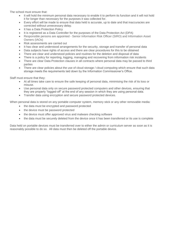The school must ensure that:

- It will hold the minimum personal data necessary to enable it to perform its function and it will not hold it for longer than necessary for the purposes it was collected for.
- Every effort will be made to ensure that data held is accurate, up to date and that inaccuracies are corrected without unnecessary delay.
- It has a Data Protection Policy
- It is registered as a Data Controller for the purposes of the Data Protection Act (DPA)
- Responsible persons are appointed Senior Information Risk Officer (SIRO) and Information Asset Owners (IAOs)
- Risk assessments are carried out
- It has clear and understood arrangements for the security, storage and transfer of personal data
- Data subjects have rights of access and there are clear procedures for this to be obtained
- There are clear and understood policies and routines for the deletion and disposal of data
- There is a policy for reporting, logging, managing and recovering from information risk incidents
- There are clear Data Protection clauses in all contracts where personal data may be passed to third parties
- There are clear policies about the use of cloud storage / cloud computing which ensure that such data storage meets the requirements laid down by the Information Commissioner's Office.

Staff must ensure that they:

- At all times take care to ensure the safe keeping of personal data, minimising the risk of its loss or misuse.
- Use personal data only on secure password protected computers and other devices, ensuring that they are properly "logged-off" at the end of any session in which they are using personal data.
- Transfer data using encryption and secure password protected devices.

When personal data is stored on any portable computer system, memory stick or any other removable media:

- the data must be encrypted and password protected
- the device must be password protected
- the device must offer approved virus and malware checking software
- the data must be securely deleted from the device once it has been transferred or its use is complete

Data held on portable devices must be transferred over to either the admin or curriculum server as soon as it is reasonably possible to do so. All data must then be deleted off the portable device.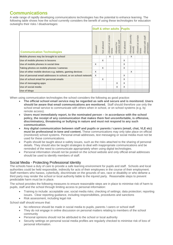## **Communications**

A wide range of rapidly developing communications technologies has the potential to enhance learning. The following table shows how the school currently considers the benefit of using these technologies for education outweighs their risks / disadvantages:

|                                                                 |         |                    |                             |                               | <b>Staff &amp; other adults Pupils</b> |                                 |                             |                                  |  |
|-----------------------------------------------------------------|---------|--------------------|-----------------------------|-------------------------------|----------------------------------------|---------------------------------|-----------------------------|----------------------------------|--|
| <b>Communication Technologies</b>                               | Allowed | <b>Not allowed</b> | Allowed at certain<br>times | Allowed for<br>selected staff | Not allowed                            | (securely<br>Allowed<br>stored) | Allowed at certain<br>times | Allowed with staff<br>permission |  |
| Mobile phones may be brought to school                          |         |                    | X                           |                               |                                        | X                               |                             |                                  |  |
| Use of mobile phones in lessons                                 |         | X                  |                             |                               | X                                      |                                 |                             |                                  |  |
| Use of mobile phones in social time                             | X       |                    |                             |                               | X                                      |                                 |                             |                                  |  |
| Taking photos on mobile phones / cameras                        |         | X                  |                             |                               | X                                      |                                 |                             |                                  |  |
| Use of other mobile devices e.g. tablets, gaming devices        | X       |                    |                             |                               |                                        | X                               |                             |                                  |  |
| Use of personal email addresses in school, or on school network | X       |                    |                             |                               | X                                      |                                 |                             |                                  |  |
| Use of school email for personal emails                         |         | X                  |                             |                               | X                                      |                                 |                             |                                  |  |
| Use of messaging apps                                           |         |                    |                             | X                             | X                                      |                                 |                             |                                  |  |
| Use of social media                                             |         |                    |                             | X                             | X                                      |                                 |                             |                                  |  |
| Use of blogs                                                    |         |                    |                             |                               |                                        |                                 |                             |                                  |  |

When using communication technologies the school considers the following as good practice:

- **The official school email service may be regarded as safe and secure and is monitored. Users should be aware that email communications are monitored.** Staff should therefore use only the school email service to communicate with others when in school, or on school systems (e.g. by remote access).
- **Users must immediately report, to the nominated person – in accordance with the school policy, the receipt of any communication that makes them feel uncomfortable, is offensive, discriminatory, threatening or bullying in nature and must not respond to any such communication.**
- **Any digital communication between staff and pupils or parents / carers (email, chat, VLE etc) must be professional in tone and content.** These communications may only take place on official (monitored) school systems. Personal email addresses, text messaging or social media must not be used for these communications.
- Pupils should be taught about e-safety issues, such as the risks attached to the sharing of personal details. They should also be taught strategies to deal with inappropriate communications and be reminded of the need to communicate appropriately when using digital technologies.
- Personal information should not be posted on the school website and only official email addresses should be used to identify members of staff.

### Social Media - Protecting Professional Identity

The schools have a duty of care to provide a safe learning environment for pupils and staff. Schools and local authorities could be held responsible, indirectly for acts of their employees in the course of their employment. Staff members who harass, cyberbully, discriminate on the grounds of sex, race or disability or who defame a third party may render the school or local authority liable to the injured party. Reasonable steps to prevent predictable harm must be in place.

The school provides the following measures to ensure reasonable steps are in place to minimise risk of harm to pupils, staff and the school through limiting access to personal information:

- Training to include: acceptable use; social media risks; checking of settings; data protection; reporting issues. Clear reporting guidance, including responsibilities, procedures and sanctions
- Risk assessment, including legal risk

School staff should ensure that:

- No reference should be made in social media to pupils, parents / carers or school staff
- They do not engage in online discussion on personal matters relating to members of the school community
- Personal opinions should not be attributed to the school or local authority
- Security settings on personal social media profiles are regularly checked to minimise risk of loss of personal information.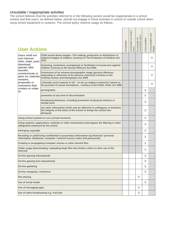#### Unsuitable / inappropriate activities

The school believes that the activities referred to in the following section would be inappropriate in a school context and that users, as defined below, should not engage in these activities in school or outside school when using school equipment or systems. The school policy restricts usage as follows:

| <b>User Actions</b>                                           |                                                                                                                                                                                         | Acceptable | at certain<br>Acceptable<br>times | nominated users<br>Acceptable for | Jnacceptable | Unacceptable and<br>illegal |
|---------------------------------------------------------------|-----------------------------------------------------------------------------------------------------------------------------------------------------------------------------------------|------------|-----------------------------------|-----------------------------------|--------------|-----------------------------|
| Users shall not<br>visit Internet<br>sites, make, post,       | Child sexual abuse images - The making, production or distribution of<br>indecent images of children. Contrary to The Protection of Children Act<br>1978                                |            |                                   |                                   |              | X                           |
| download,<br>upload, data                                     | Grooming, incitement, arrangement or facilitation of sexual acts against<br>children Contrary to the Sexual Offences Act 2003.                                                          |            |                                   |                                   |              | X.                          |
| transfer,<br>communicate or<br>pass on, material,<br>remarks, | Possession of an extreme pornographic image (grossly offensive,<br>disgusting or otherwise of an obscene character) Contrary to the<br><b>Criminal Justice and Immigration Act 2008</b> |            |                                   |                                   |              | X                           |
| proposals or<br>comments that                                 | criminally racist material in UK – to stir up religious hatred (or hatred on<br>the grounds of sexual orientation) - contrary to the Public Order Act 1986                              |            |                                   |                                   |              | X                           |
| contain or relate<br>lto:                                     | pornography                                                                                                                                                                             |            |                                   |                                   | X.           |                             |
|                                                               | promotion of any kind of discrimination                                                                                                                                                 |            |                                   |                                   | X.           |                             |
|                                                               | threatening behaviour, including promotion of physical violence or<br>mental harm                                                                                                       |            |                                   |                                   | X            |                             |
|                                                               | any other information which may be offensive to colleagues or breaches<br>the integrity of the ethos of the school or brings the school into<br>disrepute                               |            |                                   |                                   | X            |                             |
|                                                               | Using school systems to run a private business                                                                                                                                          |            |                                   |                                   | X.           |                             |
| safeguards employed by the school                             | Using systems, applications, websites or other mechanisms that bypass the filtering or other                                                                                            |            |                                   |                                   | X            |                             |
| Infringing copyright                                          |                                                                                                                                                                                         |            |                                   |                                   | X            |                             |
|                                                               | Revealing or publicising confidential or proprietary information (eg financial / personal<br>information, databases, computer / network access codes and passwords)                     |            |                                   |                                   | X            |                             |
|                                                               | Creating or propagating computer viruses or other harmful files                                                                                                                         |            |                                   |                                   | X.           |                             |
| internet)                                                     | Unfair usage (downloading / uploading large files that hinders others in their use of the                                                                                               |            |                                   |                                   | X.           |                             |
| On-line gaming (educational)                                  |                                                                                                                                                                                         |            |                                   |                                   | X.           |                             |
| On-line gaming (non educational)                              |                                                                                                                                                                                         |            |                                   |                                   | X            |                             |
| On-line gambling                                              |                                                                                                                                                                                         |            |                                   |                                   | X            |                             |
| On-line shopping / commerce                                   |                                                                                                                                                                                         |            |                                   |                                   | X            |                             |
| <b>File sharing</b>                                           |                                                                                                                                                                                         |            |                                   | X                                 |              |                             |
| Use of social media                                           |                                                                                                                                                                                         |            |                                   |                                   | X            |                             |
| Use of messaging apps                                         |                                                                                                                                                                                         |            |                                   | X                                 |              |                             |
|                                                               | Use of video broadcasting e.g. YouTube                                                                                                                                                  |            |                                   | X                                 |              |                             |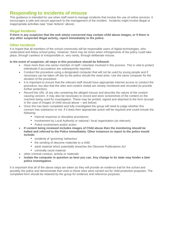## **Responding to incidents of misuse**

This guidance is intended for use when staff need to manage incidents that involve the use of online services. It encourages a safe and secure approach to the management of the incident. Incidents might involve illegal or inappropriate activities (see "User Actions" above).

#### **Illegal Incidents**

**If there is any suspicion that the web site(s) concerned may contain child abuse images, or if there is any other suspected illegal activity, report immediately to the police.**

#### **Other Incidents**

It is hoped that all members of the school community will be responsible users of digital technologies, who understand and follow school policy. However, there may be times when infringements of the policy could take place, through careless or irresponsible or, very rarely, through deliberate misuse.

#### **In the event of suspicion, all steps in this procedure should be followed:**

- Have more than one senior member of staff / volunteer involved in this process. This is vital to protect individuals if accusations are subsequently reported.
- Conduct the procedure using a designated computer that will not be used by young people and if necessary can be taken off site by the police should the need arise. Use the same computer for the duration of the procedure.
- It is important to ensure that the relevant staff should have appropriate internet access to conduct the procedure, but also that the sites and content visited are closely monitored and recorded (to provide further protection).
- Record the URL of any site containing the alleged misuse and describe the nature of the content causing concern. It may also be necessary to record and store screenshots of the content on the machine being used for investigation. These may be printed, signed and attached to the form (except in the case of images of child sexual abuse – see below)
- Once this has been completed and fully investigated the group will need to judge whether this concern has substance or not. If it does then appropriate action will be required and could include the following:
	- *•* Internal response or discipline procedures
	- *•* Involvement by Local Authority or national / local organisation (as relevant)
	- *•* Police involvement and/or action
- **If content being reviewed includes images of Child abuse then the monitoring should be halted and referred to the Police immediately. Other instances to report to the police would include:**
	- incidents of 'grooming' behaviour
	- *•* the sending of obscene materials to a child
	- *•* adult material which potentially breaches the Obscene Publications Act
	- *•* criminally racist material
- other criminal conduct, activity or materials
- **Isolate the computer in question as best you can. Any change to its state may hinder a later police investigation.**

It is important that all of the above steps are taken as they will provide an evidence trail for the *school* and possibly the police and demonstrate that visits to these sites were carried out for child protection purposes. The completed form should be retained by the group for evidence and reference purposes.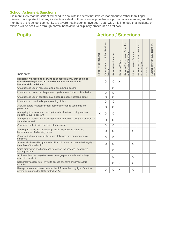#### **School Actions & Sanctions**

It is more likely that the school will need to deal with incidents that involve inappropriate rather than illegal misuse. It is important that any incidents are dealt with as soon as possible in a proportionate manner, and that members of the school community are aware that incidents have been dealt with. It is intended that incidents of misuse will be dealt with through normal behaviour / disciplinary procedures as follows:

| <b>Pupils</b>                                                                                                                                                      | <b>Actions / Sanctions</b> |                                                     |                       |                 |                                                                  |                        |                                                |         |                                                |
|--------------------------------------------------------------------------------------------------------------------------------------------------------------------|----------------------------|-----------------------------------------------------|-----------------------|-----------------|------------------------------------------------------------------|------------------------|------------------------------------------------|---------|------------------------------------------------|
| Incidents:                                                                                                                                                         | Refer to class teacher /   | <b>School Business</b><br>Deputy Head or<br>Manager | Refer to Head teacher | Refer to Police | Refer to IT Consultant for action<br>re filtering / security etc | nform parents / carers | Removal of network / internet<br>access rights | Warning | Further sanction e.g. detention /<br>exclusion |
| Deliberately accessing or trying to access material that could be<br>considered illegal (see list in earlier section on unsuitable /<br>inappropriate activities). |                            | $\times$                                            | $\times$              | X               |                                                                  |                        |                                                |         |                                                |
| Unauthorised use of non-educational sites during lessons                                                                                                           |                            |                                                     | X                     |                 |                                                                  |                        |                                                |         |                                                |
| Unauthorised use of mobile phone / digital camera / other mobile device                                                                                            |                            | X                                                   | $\times$              |                 |                                                                  |                        |                                                |         |                                                |
| Unauthorised use of social media / messaging apps / personal email                                                                                                 |                            | X                                                   | $\times$              |                 |                                                                  |                        |                                                |         |                                                |
| Unauthorised downloading or uploading of files                                                                                                                     |                            | X                                                   | X                     |                 |                                                                  |                        |                                                |         |                                                |
| Allowing others to access school network by sharing username and<br>passwords                                                                                      | X                          | X                                                   | X.                    |                 |                                                                  |                        |                                                |         |                                                |
| Attempting to access or accessing the school network, using another<br>student's / pupil's account                                                                 | $\times$                   | $\overline{X}$                                      | $\times$              |                 |                                                                  |                        |                                                |         |                                                |
| Attempting to access or accessing the school network, using the account of<br>a member of staff                                                                    |                            | $\times$                                            | X                     |                 |                                                                  |                        |                                                |         |                                                |
| Corrupting or destroying the data of other users                                                                                                                   |                            | X                                                   | X                     |                 |                                                                  |                        |                                                |         |                                                |
| Sending an email, text or message that is regarded as offensive,<br>harassment or of a bullying nature                                                             |                            | X                                                   | X                     |                 |                                                                  | X                      |                                                |         |                                                |
| Continued infringements of the above, following previous warnings or<br>sanctions                                                                                  |                            | X                                                   | $\times$              |                 |                                                                  |                        |                                                |         |                                                |
| Actions which could bring the school into disrepute or breach the integrity of<br>the ethos of the school                                                          |                            | $\times$                                            | X                     |                 |                                                                  | X                      |                                                |         |                                                |
| Using proxy sites or other means to subvert the school's / academy's<br>filtering system                                                                           |                            |                                                     | X                     |                 |                                                                  |                        |                                                |         |                                                |
| Accidentally accessing offensive or pornographic material and failing to<br>report the incident                                                                    |                            |                                                     | $\times$              |                 |                                                                  | $\times$               |                                                |         |                                                |
| Deliberately accessing or trying to access offensive or pornographic<br>material                                                                                   |                            |                                                     | X                     | X               |                                                                  | X                      |                                                |         |                                                |
| Receipt or transmission of material that infringes the copyright of another<br>person or infringes the Data Protection Act                                         |                            | X                                                   | X                     | X               |                                                                  | X                      |                                                |         |                                                |